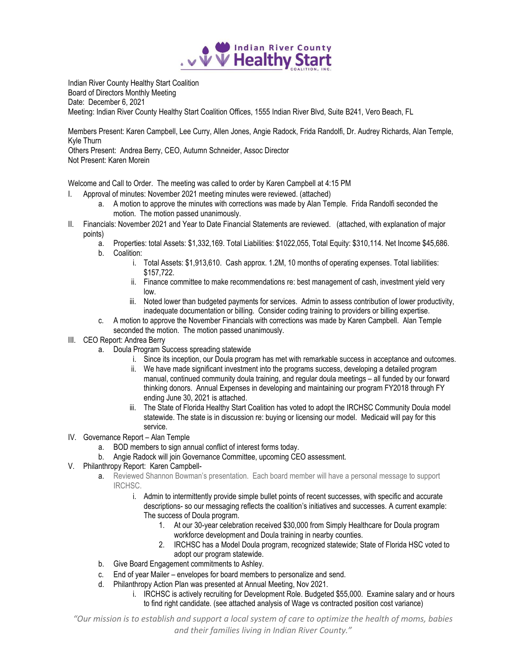

Indian River County Healthy Start Coalition Board of Directors Monthly Meeting Date: December 6, 2021 Meeting: Indian River County Healthy Start Coalition Offices, 1555 Indian River Blvd, Suite B241, Vero Beach, FL

Members Present: Karen Campbell, Lee Curry, Allen Jones, Angie Radock, Frida Randolfi, Dr. Audrey Richards, Alan Temple, Kyle Thurn Others Present: Andrea Berry, CEO, Autumn Schneider, Assoc Director Not Present: Karen Morein

Welcome and Call to Order. The meeting was called to order by Karen Campbell at 4:15 PM

- I. Approval of minutes: November 2021 meeting minutes were reviewed. (attached)
	- a. A motion to approve the minutes with corrections was made by Alan Temple. Frida Randolfi seconded the motion. The motion passed unanimously.
- II. Financials: November 2021 and Year to Date Financial Statements are reviewed. (attached, with explanation of major points)
	- a. Properties: total Assets: \$1,332,169. Total Liabilities: \$1022,055, Total Equity: \$310,114. Net Income \$45,686.
	- b. Coalition:
		- i. Total Assets: \$1,913,610. Cash approx. 1.2M, 10 months of operating expenses. Total liabilities: \$157,722.
		- ii. Finance committee to make recommendations re: best management of cash, investment yield very low.
		- iii. Noted lower than budgeted payments for services. Admin to assess contribution of lower productivity, inadequate documentation or billing. Consider coding training to providers or billing expertise.
	- c. A motion to approve the November Financials with corrections was made by Karen Campbell. Alan Temple seconded the motion. The motion passed unanimously.
- III. CEO Report: Andrea Berry
	- a. Doula Program Success spreading statewide
		- i. Since its inception, our Doula program has met with remarkable success in acceptance and outcomes.
		- ii. We have made significant investment into the programs success, developing a detailed program manual, continued community doula training, and regular doula meetings – all funded by our forward thinking donors. Annual Expenses in developing and maintaining our program FY2018 through FY ending June 30, 2021 is attached.
		- iii. The State of Florida Healthy Start Coalition has voted to adopt the IRCHSC Community Doula model statewide. The state is in discussion re: buying or licensing our model. Medicaid will pay for this service.
- IV. Governance Report Alan Temple
	- a. BOD members to sign annual conflict of interest forms today.
	- b. Angie Radock will join Governance Committee, upcoming CEO assessment.
- V. Philanthropy Report: Karen Campbell
	- a. Reviewed Shannon Bowman's presentation. Each board member will have a personal message to support IRCHSC.
		- i. Admin to intermittently provide simple bullet points of recent successes, with specific and accurate descriptions- so our messaging reflects the coalition's initiatives and successes. A current example: The success of Doula program.
			- 1. At our 30-year celebration received \$30,000 from Simply Healthcare for Doula program workforce development and Doula training in nearby counties.
			- 2. IRCHSC has a Model Doula program, recognized statewide; State of Florida HSC voted to adopt our program statewide.
	- b. Give Board Engagement commitments to Ashley.
	- c. End of year Mailer envelopes for board members to personalize and send.
	- d. Philanthropy Action Plan was presented at Annual Meeting, Nov 2021.
		- i. IRCHSC is actively recruiting for Development Role. Budgeted \$55,000. Examine salary and or hours to find right candidate. (see attached analysis of Wage vs contracted position cost variance)

*"Our mission is to establish and support a local system of care to optimize the health of moms, babies and their families living in Indian River County."*